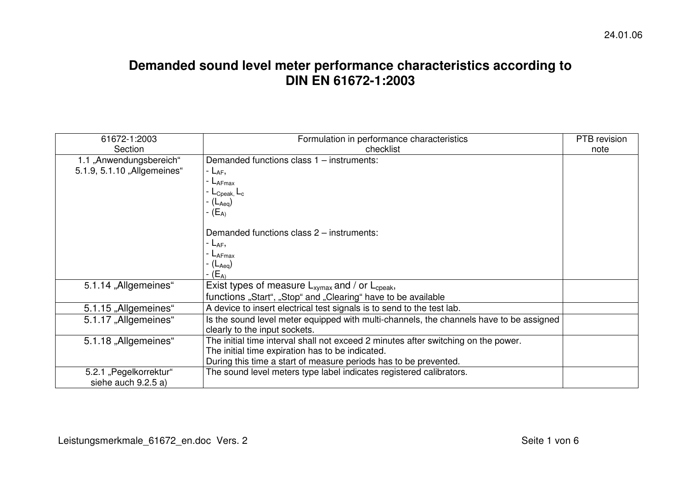## **Demanded sound level meter performance characteristics according to DIN EN 61672-1:2003**

| 61672-1:2003                | Formulation in performance characteristics                                              | PTB revision |
|-----------------------------|-----------------------------------------------------------------------------------------|--------------|
| Section                     | checklist                                                                               | note         |
| 1.1 "Anwendungsbereich"     | Demanded functions class 1 - instruments:                                               |              |
| 5.1.9, 5.1.10 "Allgemeines" | - $L_{AF}$ ,                                                                            |              |
|                             | <b>- L</b> AFmax                                                                        |              |
|                             | - L <sub>Cpeak,</sub> L <sub>c</sub>                                                    |              |
|                             | - (L <sub>Aeq</sub> )                                                                   |              |
|                             | - (E <sub>A)</sub>                                                                      |              |
|                             |                                                                                         |              |
|                             | Demanded functions class 2 – instruments:                                               |              |
|                             | - $L_{AF}$ ,                                                                            |              |
|                             | $-L$ AFmax                                                                              |              |
|                             | - (L <sub>Aeq</sub> )                                                                   |              |
|                             | - $(E_A)$                                                                               |              |
| 5.1.14 "Allgemeines"        | Exist types of measure $L_{xymax}$ and / or $L_{\text{cpeak}}$ ,                        |              |
|                             | functions "Start", "Stop" and "Clearing" have to be available                           |              |
| 5.1.15 "Allgemeines"        | A device to insert electrical test signals is to send to the test lab.                  |              |
| 5.1.17 "Allgemeines"        | Is the sound level meter equipped with multi-channels, the channels have to be assigned |              |
|                             | clearly to the input sockets.                                                           |              |
| 5.1.18 "Allgemeines"        | The initial time interval shall not exceed 2 minutes after switching on the power.      |              |
|                             | The initial time expiration has to be indicated.                                        |              |
|                             | During this time a start of measure periods has to be prevented.                        |              |
| 5.2.1 "Pegelkorrektur"      | The sound level meters type label indicates registered calibrators.                     |              |
| siehe auch 9.2.5 a)         |                                                                                         |              |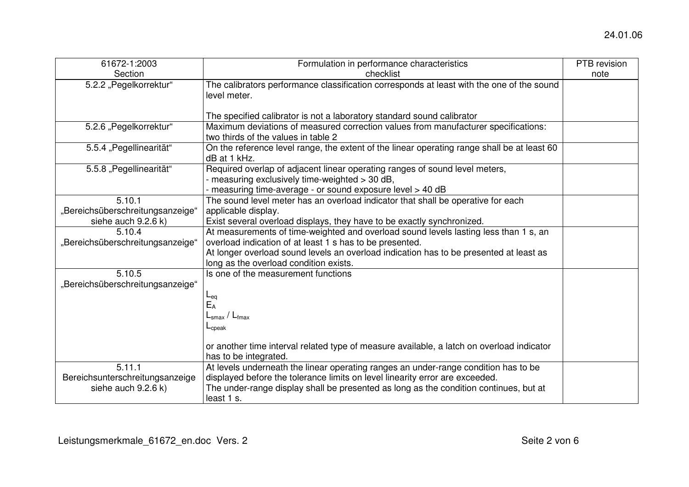| 61672-1:2003                     | Formulation in performance characteristics                                                  | PTB revision |
|----------------------------------|---------------------------------------------------------------------------------------------|--------------|
| Section                          | checklist                                                                                   | note         |
| 5.2.2 "Pegelkorrektur"           | The calibrators performance classification corresponds at least with the one of the sound   |              |
|                                  | level meter.                                                                                |              |
|                                  |                                                                                             |              |
|                                  | The specified calibrator is not a laboratory standard sound calibrator                      |              |
| 5.2.6 "Pegelkorrektur"           | Maximum deviations of measured correction values from manufacturer specifications:          |              |
|                                  | two thirds of the values in table 2                                                         |              |
| 5.5.4 "Pegellinearität"          | On the reference level range, the extent of the linear operating range shall be at least 60 |              |
|                                  | dB at 1 kHz.                                                                                |              |
| 5.5.8 "Pegellinearität"          | Required overlap of adjacent linear operating ranges of sound level meters,                 |              |
|                                  | - measuring exclusively time-weighted > 30 dB,                                              |              |
|                                  | - measuring time-average - or sound exposure level > 40 dB                                  |              |
| 5.10.1                           | The sound level meter has an overload indicator that shall be operative for each            |              |
| "Bereichsüberschreitungsanzeige" | applicable display.                                                                         |              |
| siehe auch 9.2.6 k)              | Exist several overload displays, they have to be exactly synchronized.                      |              |
| 5.10.4                           | At measurements of time-weighted and overload sound levels lasting less than 1 s, an        |              |
| "Bereichsüberschreitungsanzeige" | overload indication of at least 1 s has to be presented.                                    |              |
|                                  | At longer overload sound levels an overload indication has to be presented at least as      |              |
|                                  | long as the overload condition exists.                                                      |              |
| 5.10.5                           | Is one of the measurement functions                                                         |              |
| "Bereichsüberschreitungsanzeige" |                                                                                             |              |
|                                  | $L_{eq}$                                                                                    |              |
|                                  | $E_A$                                                                                       |              |
|                                  | $L_{\text{smax}}/L_{\text{fmax}}$                                                           |              |
|                                  | $L_{\text{cpeak}}$                                                                          |              |
|                                  | or another time interval related type of measure available, a latch on overload indicator   |              |
|                                  | has to be integrated.                                                                       |              |
| 5.11.1                           | At levels underneath the linear operating ranges an under-range condition has to be         |              |
| Bereichsunterschreitungsanzeige  | displayed before the tolerance limits on level linearity error are exceeded.                |              |
| siehe auch 9.2.6 k)              | The under-range display shall be presented as long as the condition continues, but at       |              |
|                                  | least 1 s.                                                                                  |              |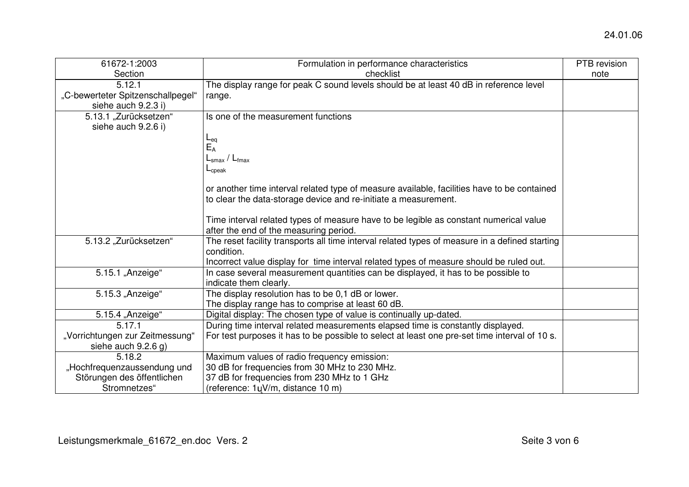| 61672-1:2003                                 | Formulation in performance characteristics                                                                   | PTB revision |
|----------------------------------------------|--------------------------------------------------------------------------------------------------------------|--------------|
| Section                                      | checklist                                                                                                    | note         |
| 5.12.1                                       | The display range for peak C sound levels should be at least 40 dB in reference level                        |              |
| "C-bewerteter Spitzenschallpegel"            | range.                                                                                                       |              |
| siehe auch 9.2.3 i)                          |                                                                                                              |              |
| 5.13.1 "Zurücksetzen"<br>siehe auch 9.2.6 i) | Is one of the measurement functions                                                                          |              |
|                                              |                                                                                                              |              |
|                                              | $E_{\text{eq}}$<br>$E_{\text{A}}$                                                                            |              |
|                                              | $L_{\text{smax}}$ / $L_{\text{fmax}}$                                                                        |              |
|                                              | $L_{\rm cpeak}$                                                                                              |              |
|                                              |                                                                                                              |              |
|                                              | or another time interval related type of measure available, facilities have to be contained                  |              |
|                                              | to clear the data-storage device and re-initiate a measurement.                                              |              |
|                                              |                                                                                                              |              |
|                                              | Time interval related types of measure have to be legible as constant numerical value                        |              |
|                                              | after the end of the measuring period.                                                                       |              |
| 5.13.2 "Zurücksetzen"                        | The reset facility transports all time interval related types of measure in a defined starting<br>condition. |              |
|                                              | Incorrect value display for time interval related types of measure should be ruled out.                      |              |
| 5.15.1 "Anzeige"                             | In case several measurement quantities can be displayed, it has to be possible to                            |              |
|                                              | indicate them clearly.                                                                                       |              |
| 5.15.3 "Anzeige"                             | The display resolution has to be 0,1 dB or lower.                                                            |              |
|                                              | The display range has to comprise at least 60 dB.                                                            |              |
| 5.15.4 "Anzeige"                             | Digital display: The chosen type of value is continually up-dated.                                           |              |
| 5.17.1                                       | During time interval related measurements elapsed time is constantly displayed.                              |              |
| "Vorrichtungen zur Zeitmessung"              | For test purposes it has to be possible to select at least one pre-set time interval of 10 s.                |              |
| siehe auch $9.2.6$ g)                        |                                                                                                              |              |
| 5.18.2                                       | Maximum values of radio frequency emission:                                                                  |              |
| "Hochfrequenzaussendung und                  | 30 dB for frequencies from 30 MHz to 230 MHz.                                                                |              |
| Störungen des öffentlichen                   | 37 dB for frequencies from 230 MHz to 1 GHz                                                                  |              |
| Stromnetzes"                                 | (reference: 1uV/m, distance 10 m)                                                                            |              |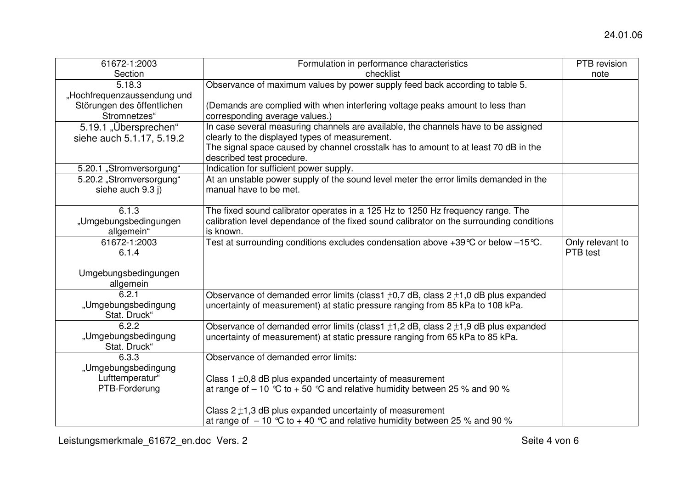| 61672-1:2003                | Formulation in performance characteristics                                                   | PTB revision     |
|-----------------------------|----------------------------------------------------------------------------------------------|------------------|
| Section                     | checklist                                                                                    | note             |
| 5.18.3                      | Observance of maximum values by power supply feed back according to table 5.                 |                  |
| "Hochfrequenzaussendung und |                                                                                              |                  |
| Störungen des öffentlichen  | (Demands are complied with when interfering voltage peaks amount to less than                |                  |
| Stromnetzes"                | corresponding average values.)                                                               |                  |
| 5.19.1 "Übersprechen"       | In case several measuring channels are available, the channels have to be assigned           |                  |
| siehe auch 5.1.17, 5.19.2   | clearly to the displayed types of measurement.                                               |                  |
|                             | The signal space caused by channel crosstalk has to amount to at least 70 dB in the          |                  |
|                             | described test procedure.                                                                    |                  |
| 5.20.1 "Stromversorgung"    | Indication for sufficient power supply.                                                      |                  |
| 5.20.2 "Stromversorgung"    | At an unstable power supply of the sound level meter the error limits demanded in the        |                  |
| siehe auch 9.3 j)           | manual have to be met.                                                                       |                  |
|                             |                                                                                              |                  |
| 6.1.3                       | The fixed sound calibrator operates in a 125 Hz to 1250 Hz frequency range. The              |                  |
| "Umgebungsbedingungen       | calibration level dependance of the fixed sound calibrator on the surrounding conditions     |                  |
| allgemein"                  | is known.                                                                                    |                  |
| 61672-1:2003                | Test at surrounding conditions excludes condensation above +39 °C or below -15 °C.           | Only relevant to |
| 6.1.4                       |                                                                                              | PTB test         |
|                             |                                                                                              |                  |
| Umgebungsbedingungen        |                                                                                              |                  |
| allgemein                   |                                                                                              |                  |
| 6.2.1                       | Observance of demanded error limits (class1 $\pm$ 0,7 dB, class 2 $\pm$ 1,0 dB plus expanded |                  |
| "Umgebungsbedingung         | uncertainty of measurement) at static pressure ranging from 85 kPa to 108 kPa.               |                  |
| Stat. Druck"                |                                                                                              |                  |
| 6.2.2                       | Observance of demanded error limits (class1 $\pm$ 1,2 dB, class 2 $\pm$ 1,9 dB plus expanded |                  |
| "Umgebungsbedingung         | uncertainty of measurement) at static pressure ranging from 65 kPa to 85 kPa.                |                  |
| Stat. Druck"                |                                                                                              |                  |
| 6.3.3                       | Observance of demanded error limits:                                                         |                  |
| "Umgebungsbedingung         |                                                                                              |                  |
| Lufttemperatur"             | Class $1 \pm 0.8$ dB plus expanded uncertainty of measurement                                |                  |
| PTB-Forderung               | at range of $-10$ °C to $+50$ °C and relative humidity between 25 % and 90 %                 |                  |
|                             |                                                                                              |                  |
|                             | Class $2 \pm 1,3$ dB plus expanded uncertainty of measurement                                |                  |
|                             | at range of $-10$ °C to +40 °C and relative humidity between 25 % and 90 %                   |                  |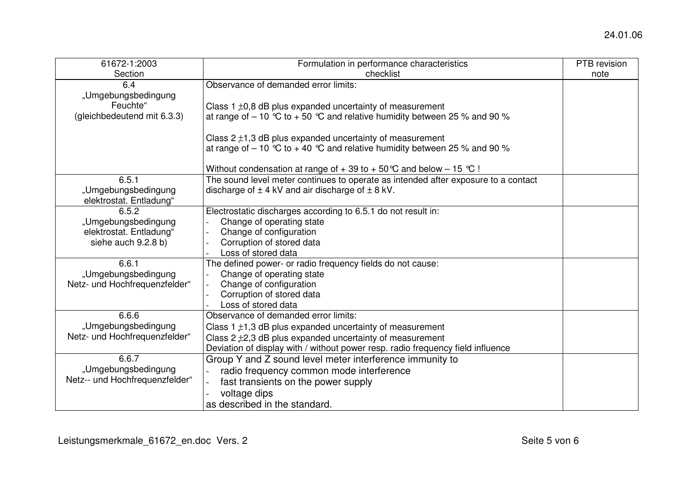| 61672-1:2003                   | Formulation in performance characteristics                                         | PTB revision |
|--------------------------------|------------------------------------------------------------------------------------|--------------|
| Section                        | checklist                                                                          | note         |
| 6.4                            | Observance of demanded error limits:                                               |              |
| "Umgebungsbedingung            |                                                                                    |              |
| Feuchte"                       | Class $1 \pm 0.8$ dB plus expanded uncertainty of measurement                      |              |
| (gleichbedeutend mit 6.3.3)    | at range of $-10$ °C to $+50$ °C and relative humidity between 25 % and 90 %       |              |
|                                |                                                                                    |              |
|                                | Class $2 \pm 1,3$ dB plus expanded uncertainty of measurement                      |              |
|                                | at range of $-10$ °C to $+40$ °C and relative humidity between 25 % and 90 %       |              |
|                                |                                                                                    |              |
|                                | Without condensation at range of $+39$ to $+50^{\circ}$ C and below - 15 °C !      |              |
| 6.5.1                          | The sound level meter continues to operate as intended after exposure to a contact |              |
| "Umgebungsbedingung            | discharge of $\pm$ 4 kV and air discharge of $\pm$ 8 kV.                           |              |
| elektrostat. Entladung"        |                                                                                    |              |
| 6.5.2                          | Electrostatic discharges according to 6.5.1 do not result in:                      |              |
| "Umgebungsbedingung            | Change of operating state                                                          |              |
| elektrostat. Entladung"        | Change of configuration                                                            |              |
| siehe auch 9.2.8 b)            | Corruption of stored data                                                          |              |
|                                | Loss of stored data                                                                |              |
| 6.6.1                          | The defined power- or radio frequency fields do not cause:                         |              |
| "Umgebungsbedingung            | Change of operating state                                                          |              |
| Netz- und Hochfrequenzfelder"  | Change of configuration                                                            |              |
|                                | Corruption of stored data                                                          |              |
|                                | Loss of stored data                                                                |              |
| 6.6.6                          | Observance of demanded error limits:                                               |              |
| "Umgebungsbedingung            | Class $1 \pm 1.3$ dB plus expanded uncertainty of measurement                      |              |
| Netz- und Hochfrequenzfelder"  | Class $2 \pm 2.3$ dB plus expanded uncertainty of measurement                      |              |
|                                | Deviation of display with / without power resp. radio frequency field influence    |              |
| 6.6.7                          | Group Y and Z sound level meter interference immunity to                           |              |
| "Umgebungsbedingung            | radio frequency common mode interference                                           |              |
| Netz-- und Hochfrequenzfelder" | fast transients on the power supply                                                |              |
|                                | voltage dips                                                                       |              |
|                                | as described in the standard.                                                      |              |